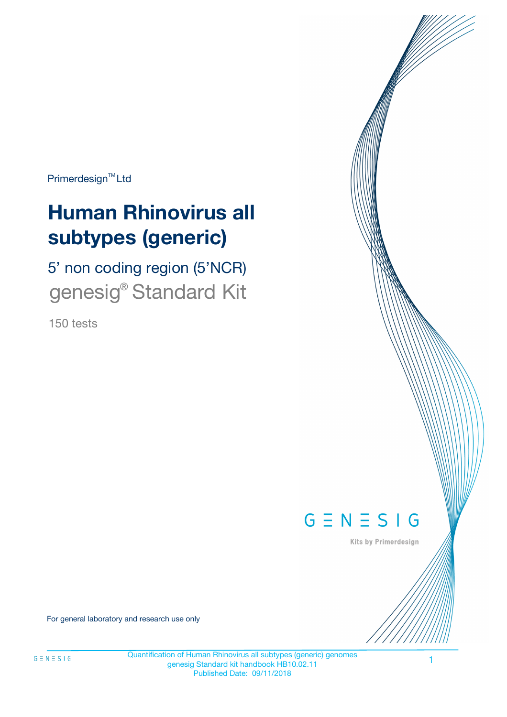Primerdesign<sup>™</sup>Ltd

# **Human Rhinovirus all subtypes (generic)**

5' non coding region (5'NCR) genesig<sup>®</sup> Standard Kit

150 tests



Kits by Primerdesign

For general laboratory and research use only

1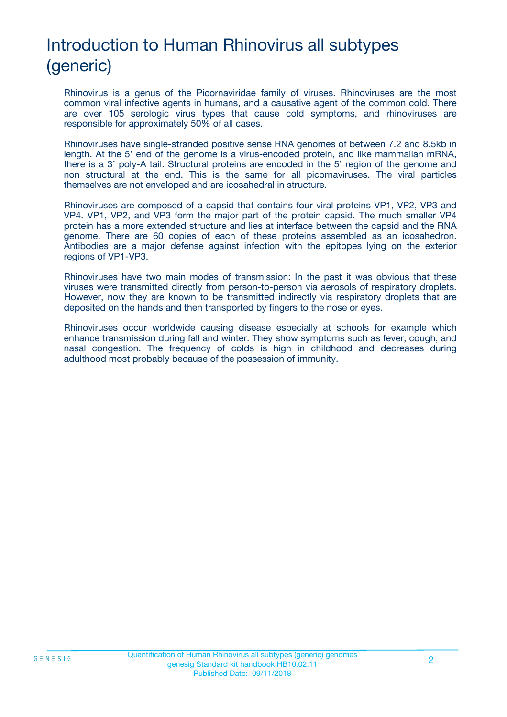# Introduction to Human Rhinovirus all subtypes (generic)

Rhinovirus is a genus of the Picornaviridae family of viruses. Rhinoviruses are the most common viral infective agents in humans, and a causative agent of the common cold. There are over 105 serologic virus types that cause cold symptoms, and rhinoviruses are responsible for approximately 50% of all cases.

Rhinoviruses have single-stranded positive sense RNA genomes of between 7.2 and 8.5kb in length. At the 5' end of the genome is a virus-encoded protein, and like mammalian mRNA, there is a 3' poly-A tail. Structural proteins are encoded in the 5' region of the genome and non structural at the end. This is the same for all picornaviruses. The viral particles themselves are not enveloped and are icosahedral in structure.

Rhinoviruses are composed of a capsid that contains four viral proteins VP1, VP2, VP3 and VP4. VP1, VP2, and VP3 form the major part of the protein capsid. The much smaller VP4 protein has a more extended structure and lies at interface between the capsid and the RNA genome. There are 60 copies of each of these proteins assembled as an icosahedron. Antibodies are a major defense against infection with the epitopes lying on the exterior regions of VP1-VP3.

Rhinoviruses have two main modes of transmission: In the past it was obvious that these viruses were transmitted directly from person-to-person via aerosols of respiratory droplets. However, now they are known to be transmitted indirectly via respiratory droplets that are deposited on the hands and then transported by fingers to the nose or eyes.

Rhinoviruses occur worldwide causing disease especially at schools for example which enhance transmission during fall and winter. They show symptoms such as fever, cough, and nasal congestion. The frequency of colds is high in childhood and decreases during adulthood most probably because of the possession of immunity.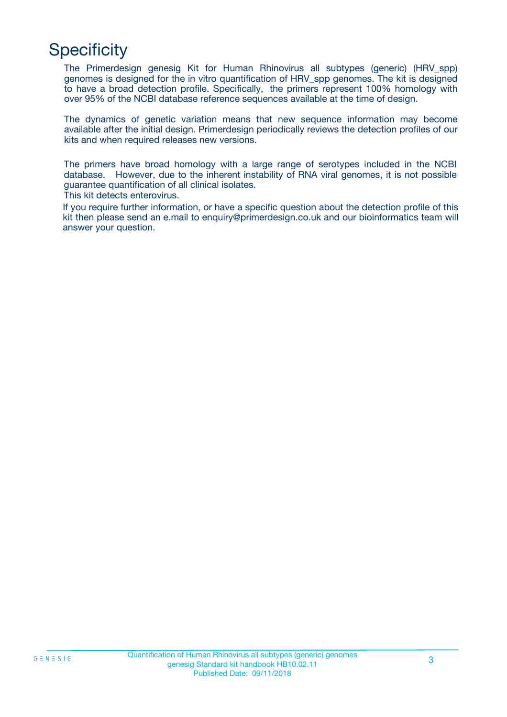# **Specificity**

The Primerdesign genesig Kit for Human Rhinovirus all subtypes (generic) (HRV\_spp) genomes is designed for the in vitro quantification of HRV\_spp genomes. The kit is designed to have a broad detection profile. Specifically, the primers represent 100% homology with over 95% of the NCBI database reference sequences available at the time of design.

The dynamics of genetic variation means that new sequence information may become available after the initial design. Primerdesign periodically reviews the detection profiles of our kits and when required releases new versions.

The primers have broad homology with a large range of serotypes included in the NCBI database. However, due to the inherent instability of RNA viral genomes, it is not possible guarantee quantification of all clinical isolates.

This kit detects enterovirus.

If you require further information, or have a specific question about the detection profile of this kit then please send an e.mail to enquiry@primerdesign.co.uk and our bioinformatics team will answer your question.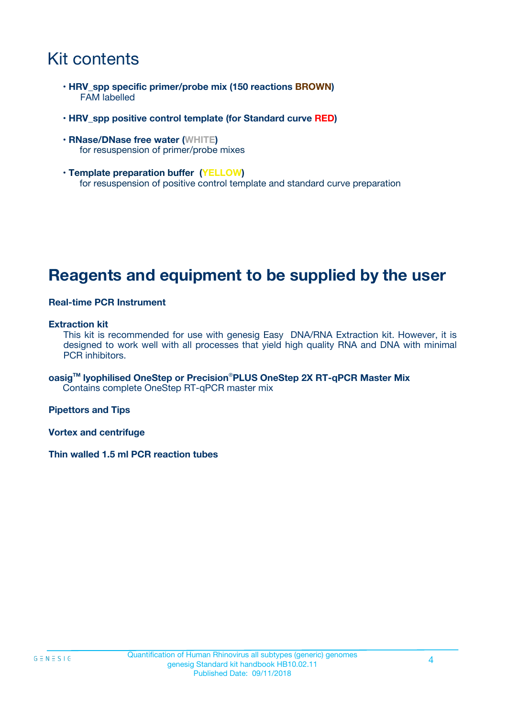# Kit contents

- **HRV\_spp specific primer/probe mix (150 reactions BROWN)** FAM labelled
- **HRV\_spp positive control template (for Standard curve RED)**
- **RNase/DNase free water (WHITE)** for resuspension of primer/probe mixes
- **Template preparation buffer (YELLOW)** for resuspension of positive control template and standard curve preparation

## **Reagents and equipment to be supplied by the user**

#### **Real-time PCR Instrument**

#### **Extraction kit**

This kit is recommended for use with genesig Easy DNA/RNA Extraction kit. However, it is designed to work well with all processes that yield high quality RNA and DNA with minimal PCR inhibitors.

**oasigTM lyophilised OneStep or Precision**®**PLUS OneStep 2X RT-qPCR Master Mix** Contains complete OneStep RT-qPCR master mix

**Pipettors and Tips**

**Vortex and centrifuge**

**Thin walled 1.5 ml PCR reaction tubes**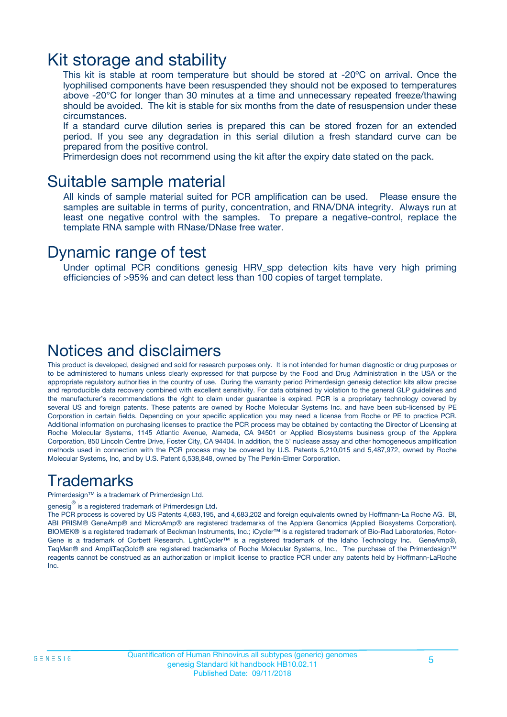### Kit storage and stability

This kit is stable at room temperature but should be stored at -20ºC on arrival. Once the lyophilised components have been resuspended they should not be exposed to temperatures above -20°C for longer than 30 minutes at a time and unnecessary repeated freeze/thawing should be avoided. The kit is stable for six months from the date of resuspension under these circumstances.

If a standard curve dilution series is prepared this can be stored frozen for an extended period. If you see any degradation in this serial dilution a fresh standard curve can be prepared from the positive control.

Primerdesign does not recommend using the kit after the expiry date stated on the pack.

### Suitable sample material

All kinds of sample material suited for PCR amplification can be used. Please ensure the samples are suitable in terms of purity, concentration, and RNA/DNA integrity. Always run at least one negative control with the samples. To prepare a negative-control, replace the template RNA sample with RNase/DNase free water.

### Dynamic range of test

Under optimal PCR conditions genesig HRV\_spp detection kits have very high priming efficiencies of >95% and can detect less than 100 copies of target template.

### Notices and disclaimers

This product is developed, designed and sold for research purposes only. It is not intended for human diagnostic or drug purposes or to be administered to humans unless clearly expressed for that purpose by the Food and Drug Administration in the USA or the appropriate regulatory authorities in the country of use. During the warranty period Primerdesign genesig detection kits allow precise and reproducible data recovery combined with excellent sensitivity. For data obtained by violation to the general GLP guidelines and the manufacturer's recommendations the right to claim under guarantee is expired. PCR is a proprietary technology covered by several US and foreign patents. These patents are owned by Roche Molecular Systems Inc. and have been sub-licensed by PE Corporation in certain fields. Depending on your specific application you may need a license from Roche or PE to practice PCR. Additional information on purchasing licenses to practice the PCR process may be obtained by contacting the Director of Licensing at Roche Molecular Systems, 1145 Atlantic Avenue, Alameda, CA 94501 or Applied Biosystems business group of the Applera Corporation, 850 Lincoln Centre Drive, Foster City, CA 94404. In addition, the 5' nuclease assay and other homogeneous amplification methods used in connection with the PCR process may be covered by U.S. Patents 5,210,015 and 5,487,972, owned by Roche Molecular Systems, Inc, and by U.S. Patent 5,538,848, owned by The Perkin-Elmer Corporation.

### Trademarks

Primerdesign™ is a trademark of Primerdesign Ltd.

genesig $^\circledR$  is a registered trademark of Primerdesign Ltd.

The PCR process is covered by US Patents 4,683,195, and 4,683,202 and foreign equivalents owned by Hoffmann-La Roche AG. BI, ABI PRISM® GeneAmp® and MicroAmp® are registered trademarks of the Applera Genomics (Applied Biosystems Corporation). BIOMEK® is a registered trademark of Beckman Instruments, Inc.; iCycler™ is a registered trademark of Bio-Rad Laboratories, Rotor-Gene is a trademark of Corbett Research. LightCycler™ is a registered trademark of the Idaho Technology Inc. GeneAmp®, TaqMan® and AmpliTaqGold® are registered trademarks of Roche Molecular Systems, Inc., The purchase of the Primerdesign™ reagents cannot be construed as an authorization or implicit license to practice PCR under any patents held by Hoffmann-LaRoche Inc.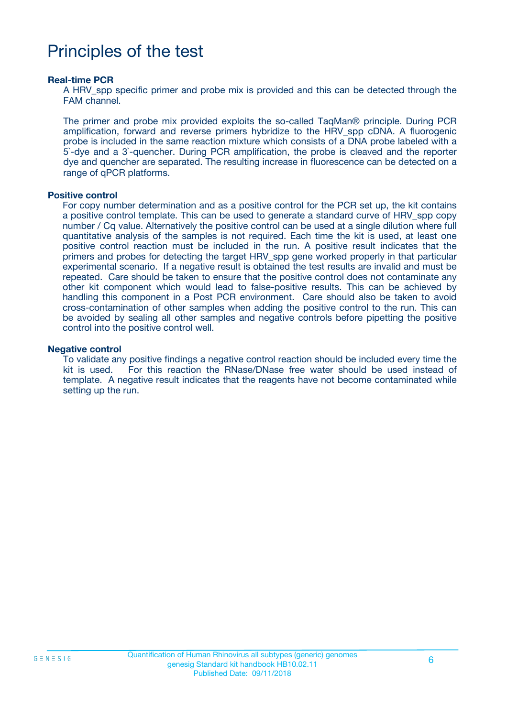# Principles of the test

#### **Real-time PCR**

A HRV spp specific primer and probe mix is provided and this can be detected through the FAM channel.

The primer and probe mix provided exploits the so-called TaqMan® principle. During PCR amplification, forward and reverse primers hybridize to the HRV\_spp cDNA. A fluorogenic probe is included in the same reaction mixture which consists of a DNA probe labeled with a 5`-dye and a 3`-quencher. During PCR amplification, the probe is cleaved and the reporter dye and quencher are separated. The resulting increase in fluorescence can be detected on a range of qPCR platforms.

#### **Positive control**

For copy number determination and as a positive control for the PCR set up, the kit contains a positive control template. This can be used to generate a standard curve of HRV\_spp copy number / Cq value. Alternatively the positive control can be used at a single dilution where full quantitative analysis of the samples is not required. Each time the kit is used, at least one positive control reaction must be included in the run. A positive result indicates that the primers and probes for detecting the target HRV\_spp gene worked properly in that particular experimental scenario. If a negative result is obtained the test results are invalid and must be repeated. Care should be taken to ensure that the positive control does not contaminate any other kit component which would lead to false-positive results. This can be achieved by handling this component in a Post PCR environment. Care should also be taken to avoid cross-contamination of other samples when adding the positive control to the run. This can be avoided by sealing all other samples and negative controls before pipetting the positive control into the positive control well.

#### **Negative control**

To validate any positive findings a negative control reaction should be included every time the kit is used. For this reaction the RNase/DNase free water should be used instead of template. A negative result indicates that the reagents have not become contaminated while setting up the run.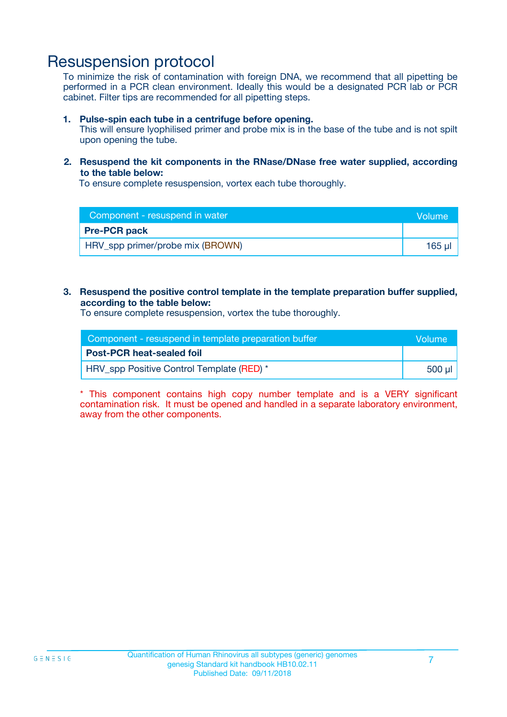### Resuspension protocol

To minimize the risk of contamination with foreign DNA, we recommend that all pipetting be performed in a PCR clean environment. Ideally this would be a designated PCR lab or PCR cabinet. Filter tips are recommended for all pipetting steps.

#### **1. Pulse-spin each tube in a centrifuge before opening.**

This will ensure lyophilised primer and probe mix is in the base of the tube and is not spilt upon opening the tube.

#### **2. Resuspend the kit components in the RNase/DNase free water supplied, according to the table below:**

To ensure complete resuspension, vortex each tube thoroughly.

| Component - resuspend in water   |        |
|----------------------------------|--------|
| <b>Pre-PCR pack</b>              |        |
| HRV_spp primer/probe mix (BROWN) | 165 ul |

#### **3. Resuspend the positive control template in the template preparation buffer supplied, according to the table below:**

To ensure complete resuspension, vortex the tube thoroughly.

| Component - resuspend in template preparation buffer |          |  |
|------------------------------------------------------|----------|--|
| <b>Post-PCR heat-sealed foil</b>                     |          |  |
| HRV spp Positive Control Template (RED) *            | ่ 500 µl |  |

\* This component contains high copy number template and is a VERY significant contamination risk. It must be opened and handled in a separate laboratory environment, away from the other components.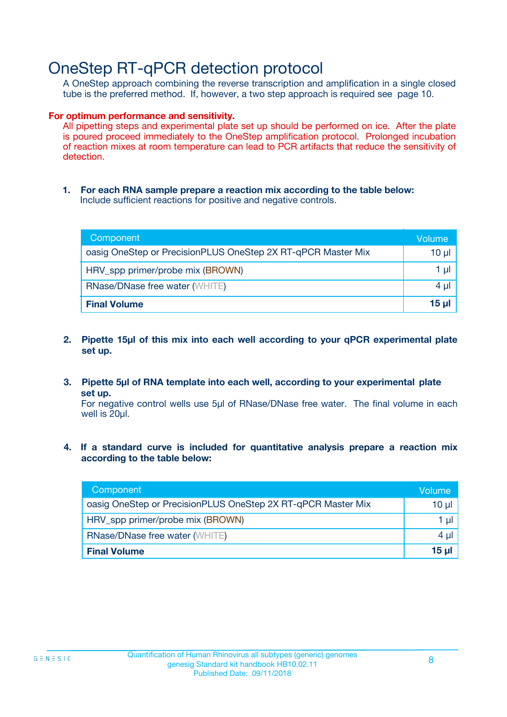## OneStep RT-qPCR detection protocol

A OneStep approach combining the reverse transcription and amplification in a single closed tube is the preferred method. If, however, a two step approach is required see page 10.

#### **For optimum performance and sensitivity.**

All pipetting steps and experimental plate set up should be performed on ice. After the plate is poured proceed immediately to the OneStep amplification protocol. Prolonged incubation of reaction mixes at room temperature can lead to PCR artifacts that reduce the sensitivity of detection.

**1. For each RNA sample prepare a reaction mix according to the table below:** Include sufficient reactions for positive and negative controls.

| Component                                                    | Volume   |
|--------------------------------------------------------------|----------|
| oasig OneStep or PrecisionPLUS OneStep 2X RT-qPCR Master Mix | $10 \mu$ |
| HRV_spp primer/probe mix (BROWN)                             | 1 µl     |
| <b>RNase/DNase free water (WHITE)</b>                        | $4 \mu$  |
| <b>Final Volume</b>                                          | $15$ µ   |

- **2. Pipette 15µl of this mix into each well according to your qPCR experimental plate set up.**
- **3. Pipette 5µl of RNA template into each well, according to your experimental plate set up.**

For negative control wells use 5µl of RNase/DNase free water. The final volume in each well is 20ul.

**4. If a standard curve is included for quantitative analysis prepare a reaction mix according to the table below:**

| Component                                                    | Volume |
|--------------------------------------------------------------|--------|
| oasig OneStep or PrecisionPLUS OneStep 2X RT-qPCR Master Mix | 10 µl  |
| HRV_spp primer/probe mix (BROWN)                             | 1 µl   |
| <b>RNase/DNase free water (WHITE)</b>                        | 4 µl   |
| <b>Final Volume</b>                                          | 15 ul  |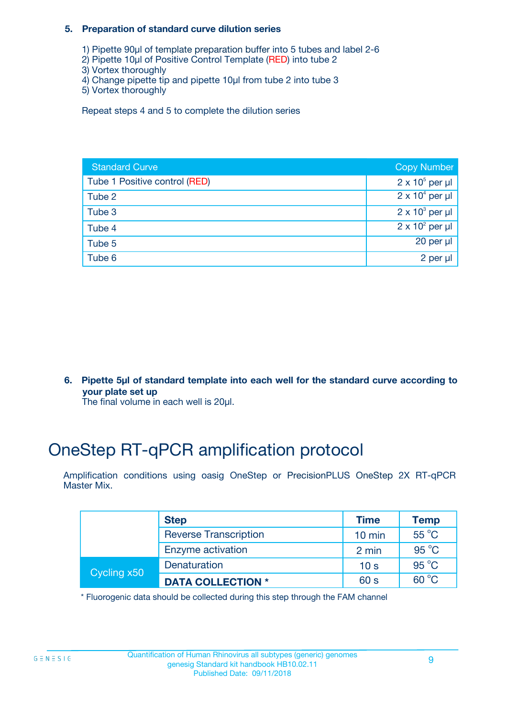#### **5. Preparation of standard curve dilution series**

- 1) Pipette 90µl of template preparation buffer into 5 tubes and label 2-6
- 2) Pipette 10µl of Positive Control Template (RED) into tube 2
- 3) Vortex thoroughly
- 4) Change pipette tip and pipette 10µl from tube 2 into tube 3
- 5) Vortex thoroughly

Repeat steps 4 and 5 to complete the dilution series

| <b>Standard Curve</b>         | <b>Copy Number</b>     |
|-------------------------------|------------------------|
| Tube 1 Positive control (RED) | $2 \times 10^5$ per µl |
| Tube 2                        | $2 \times 10^4$ per µl |
| Tube 3                        | $2 \times 10^3$ per µl |
| Tube 4                        | $2 \times 10^2$ per µl |
| Tube 5                        | 20 per $\mu$           |
| Tube 6                        | 2 per µl               |

**6. Pipette 5µl of standard template into each well for the standard curve according to your plate set up**

The final volume in each well is 20ul.

# OneStep RT-qPCR amplification protocol

Amplification conditions using oasig OneStep or PrecisionPLUS OneStep 2X RT-qPCR Master Mix.

|             | <b>Step</b>                  | <b>Time</b>      | <b>Temp</b>    |
|-------------|------------------------------|------------------|----------------|
|             | <b>Reverse Transcription</b> | $10 \text{ min}$ | 55 °C          |
|             | Enzyme activation            | 2 min            | $95^{\circ}$ C |
| Cycling x50 | Denaturation                 | 10 <sub>s</sub>  | $95^{\circ}$ C |
|             | <b>DATA COLLECTION *</b>     | 60 s             | $60^{\circ}$ C |

\* Fluorogenic data should be collected during this step through the FAM channel